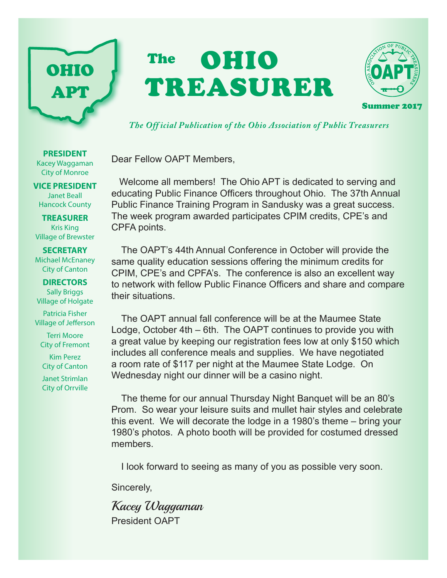

# The **OHIO** TREASURER



Summer 2017

*The Off icial Publication of the Ohio Association of Public Treasurers*

Dear Fellow OAPT Members,

 Welcome all members! The Ohio APT is dedicated to serving and educating Public Finance Officers throughout Ohio. The 37th Annual Public Finance Training Program in Sandusky was a great success. The week program awarded participates CPIM credits, CPE's and CPFA points.

The OAPT's 44th Annual Conference in October will provide the same quality education sessions offering the minimum credits for CPIM, CPE's and CPFA's. The conference is also an excellent way to network with fellow Public Finance Officers and share and compare their situations.

The OAPT annual fall conference will be at the Maumee State Lodge, October 4th – 6th. The OAPT continues to provide you with a great value by keeping our registration fees low at only \$150 which includes all conference meals and supplies. We have negotiated a room rate of \$117 per night at the Maumee State Lodge. On Wednesday night our dinner will be a casino night.

The theme for our annual Thursday Night Banquet will be an 80's Prom. So wear your leisure suits and mullet hair styles and celebrate this event. We will decorate the lodge in a 1980's theme – bring your 1980's photos. A photo booth will be provided for costumed dressed members.

I look forward to seeing as many of you as possible very soon.

Sincerely,

Kacey Waggaman President OAPT

**PRESIDENT** Kacey Waggaman City of Monroe

**VICE PRESIDENT** Janet Beall Hancock County

**TREASURER** Kris King Village of Brewster

#### **SECRETARY** Michael McEnaney City of Canton

**DIRECTORS** Sally Briggs Village of Holgate

Patricia Fisher Village of Jefferson

Terri Moore City of Fremont

Kim Perez City of Canton

Janet Strimlan City of Orrville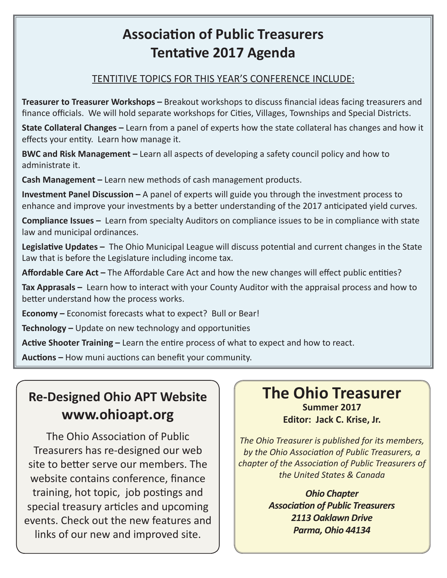### **Association of Public Treasurers Tentative 2017 Agenda**

#### TENTITIVE TOPICS FOR THIS YEAR'S CONFERENCE INCLUDE:

**Treasurer to Treasurer Workshops –** Breakout workshops to discuss financial ideas facing treasurers and finance officials. We will hold separate workshops for Cities, Villages, Townships and Special Districts.

**State Collateral Changes –** Learn from a panel of experts how the state collateral has changes and how it effects your entity. Learn how manage it.

**BWC and Risk Management –** Learn all aspects of developing a safety council policy and how to administrate it.

**Cash Management –** Learn new methods of cash management products.

**Investment Panel Discussion –** A panel of experts will guide you through the investment process to enhance and improve your investments by a better understanding of the 2017 anticipated yield curves.

**Compliance Issues –** Learn from specialty Auditors on compliance issues to be in compliance with state law and municipal ordinances.

**Legislative Updates –** The Ohio Municipal League will discuss potential and current changes in the State Law that is before the Legislature including income tax.

**Affordable Care Act –** The Affordable Care Act and how the new changes will effect public entities?

**Tax Apprasals –** Learn how to interact with your County Auditor with the appraisal process and how to better understand how the process works.

**Economy –** Economist forecasts what to expect? Bull or Bear!

**Technology –** Update on new technology and opportunities

**Active Shooter Training –** Learn the entire process of what to expect and how to react.

**Auctions –** How muni auctions can benefit your community.

#### **Re-Designed Ohio APT Website www.ohioapt.org**

The Ohio Association of Public Treasurers has re-designed our web site to better serve our members. The website contains conference, finance training, hot topic, job postings and special treasury articles and upcoming events. Check out the new features and links of our new and improved site.

#### **The Ohio Treasurer Summer 2017**

**Editor: Jack C. Krise, Jr.**

*The Ohio Treasurer is published for its members, by the Ohio Association of Public Treasurers, a chapter of the Association of Public Treasurers of the United States & Canada*

> *Ohio Chapter Association of Public Treasurers 2113 Oaklawn Drive Parma, Ohio 44134*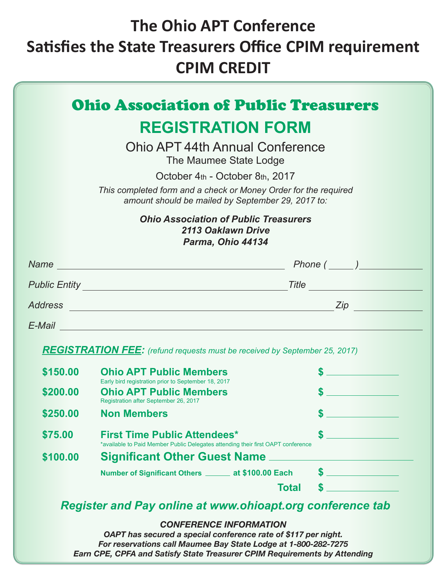## **The Ohio APT Conference Satisfies the State Treasurers Office CPIM requirement CPIM CREDIT**

|          | <b>REGISTRATION FORM</b><br>Ohio APT 44th Annual Conference                                                                                                                |                        |
|----------|----------------------------------------------------------------------------------------------------------------------------------------------------------------------------|------------------------|
|          | The Maumee State Lodge<br>October 4th - October 8th, 2017                                                                                                                  |                        |
|          | This completed form and a check or Money Order for the required<br>amount should be mailed by September 29, 2017 to:                                                       |                        |
|          | <b>Ohio Association of Public Treasurers</b><br>2113 Oaklawn Drive<br>Parma, Ohio 44134                                                                                    |                        |
|          |                                                                                                                                                                            |                        |
|          |                                                                                                                                                                            |                        |
|          |                                                                                                                                                                            |                        |
|          |                                                                                                                                                                            |                        |
| \$150.00 | <b>REGISTRATION FEE:</b> (refund requests must be received by September 25, 2017)<br><b>Ohio APT Public Members</b><br>Early bird registration prior to September 18, 2017 | $s$ and the set of $s$ |
| \$200.00 | <b>Ohio APT Public Members</b><br>Registration after September 26, 2017                                                                                                    |                        |
| \$250.00 | <b>Non Members</b>                                                                                                                                                         | œ.                     |
| \$75.00  | <b>First Time Public Attendees*</b><br>*available to Paid Member Public Delegates attending their first OAPT conference                                                    |                        |
| \$100.00 | <b>Significant Other Guest Name</b>                                                                                                                                        |                        |
|          | Number of Significant Others _______ at \$100.00 Each                                                                                                                      |                        |
|          | Total<br><b>Register and Pay online at www.ohioapt.org conference tab</b>                                                                                                  |                        |
|          |                                                                                                                                                                            |                        |